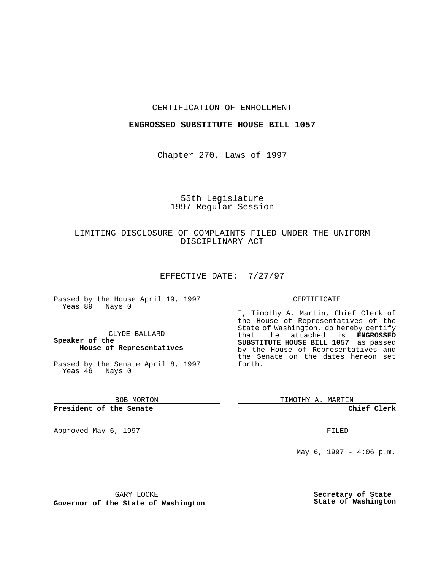### CERTIFICATION OF ENROLLMENT

### **ENGROSSED SUBSTITUTE HOUSE BILL 1057**

Chapter 270, Laws of 1997

# 55th Legislature 1997 Regular Session

## LIMITING DISCLOSURE OF COMPLAINTS FILED UNDER THE UNIFORM DISCIPLINARY ACT

#### EFFECTIVE DATE: 7/27/97

Passed by the House April 19, 1997 Yeas 89 Nays 0

#### CLYDE BALLARD

### **Speaker of the House of Representatives**

Passed by the Senate April 8, 1997 Yeas 46 Nays 0

BOB MORTON

**President of the Senate**

Approved May 6, 1997 **FILED** 

#### CERTIFICATE

I, Timothy A. Martin, Chief Clerk of the House of Representatives of the State of Washington, do hereby certify<br>that the attached is **ENGROSSED** the attached is **ENGROSSED SUBSTITUTE HOUSE BILL 1057** as passed by the House of Representatives and the Senate on the dates hereon set forth.

TIMOTHY A. MARTIN

**Chief Clerk**

May 6, 1997 - 4:06 p.m.

GARY LOCKE

**Governor of the State of Washington**

**Secretary of State State of Washington**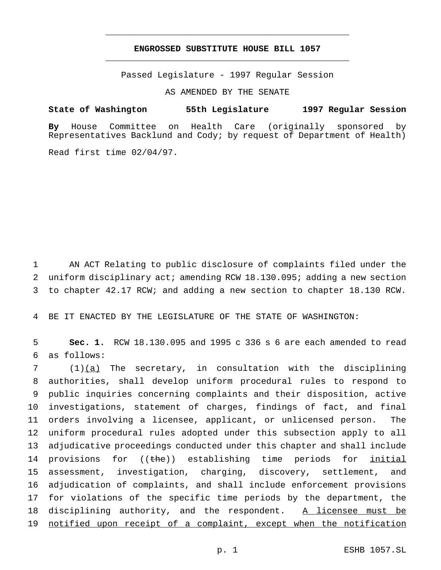## **ENGROSSED SUBSTITUTE HOUSE BILL 1057** \_\_\_\_\_\_\_\_\_\_\_\_\_\_\_\_\_\_\_\_\_\_\_\_\_\_\_\_\_\_\_\_\_\_\_\_\_\_\_\_\_\_\_\_\_\_\_

\_\_\_\_\_\_\_\_\_\_\_\_\_\_\_\_\_\_\_\_\_\_\_\_\_\_\_\_\_\_\_\_\_\_\_\_\_\_\_\_\_\_\_\_\_\_\_

Passed Legislature - 1997 Regular Session

AS AMENDED BY THE SENATE

**State of Washington 55th Legislature 1997 Regular Session**

**By** House Committee on Health Care (originally sponsored by Representatives Backlund and Cody; by request of Department of Health)

Read first time 02/04/97.

1 AN ACT Relating to public disclosure of complaints filed under the 2 uniform disciplinary act; amending RCW 18.130.095; adding a new section 3 to chapter 42.17 RCW; and adding a new section to chapter 18.130 RCW.

4 BE IT ENACTED BY THE LEGISLATURE OF THE STATE OF WASHINGTON:

5 **Sec. 1.** RCW 18.130.095 and 1995 c 336 s 6 are each amended to read 6 as follows:

 (1)(a) The secretary, in consultation with the disciplining authorities, shall develop uniform procedural rules to respond to public inquiries concerning complaints and their disposition, active investigations, statement of charges, findings of fact, and final orders involving a licensee, applicant, or unlicensed person. The uniform procedural rules adopted under this subsection apply to all adjudicative proceedings conducted under this chapter and shall include 14 provisions for ((the)) establishing time periods for initial assessment, investigation, charging, discovery, settlement, and adjudication of complaints, and shall include enforcement provisions for violations of the specific time periods by the department, the 18 disciplining authority, and the respondent. A licensee must be 19 notified upon receipt of a complaint, except when the notification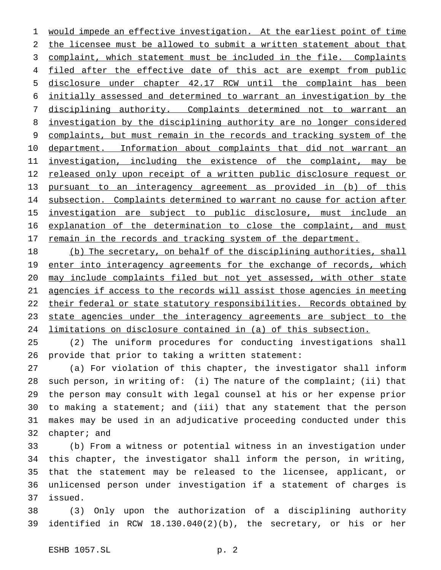would impede an effective investigation. At the earliest point of time the licensee must be allowed to submit a written statement about that 3 complaint, which statement must be included in the file. Complaints 4 filed after the effective date of this act are exempt from public disclosure under chapter 42.17 RCW until the complaint has been initially assessed and determined to warrant an investigation by the disciplining authority. Complaints determined not to warrant an investigation by the disciplining authority are no longer considered 9 complaints, but must remain in the records and tracking system of the 10 department. Information about complaints that did not warrant an 11 investigation, including the existence of the complaint, may be released only upon receipt of a written public disclosure request or pursuant to an interagency agreement as provided in (b) of this 14 subsection. Complaints determined to warrant no cause for action after investigation are subject to public disclosure, must include an 16 explanation of the determination to close the complaint, and must 17 remain in the records and tracking system of the department.

 (b) The secretary, on behalf of the disciplining authorities, shall 19 enter into interagency agreements for the exchange of records, which may include complaints filed but not yet assessed, with other state agencies if access to the records will assist those agencies in meeting 22 their federal or state statutory responsibilities. Records obtained by 23 state agencies under the interagency agreements are subject to the limitations on disclosure contained in (a) of this subsection.

 (2) The uniform procedures for conducting investigations shall provide that prior to taking a written statement:

 (a) For violation of this chapter, the investigator shall inform such person, in writing of: (i) The nature of the complaint; (ii) that the person may consult with legal counsel at his or her expense prior to making a statement; and (iii) that any statement that the person makes may be used in an adjudicative proceeding conducted under this chapter; and

 (b) From a witness or potential witness in an investigation under this chapter, the investigator shall inform the person, in writing, that the statement may be released to the licensee, applicant, or unlicensed person under investigation if a statement of charges is issued.

 (3) Only upon the authorization of a disciplining authority identified in RCW 18.130.040(2)(b), the secretary, or his or her